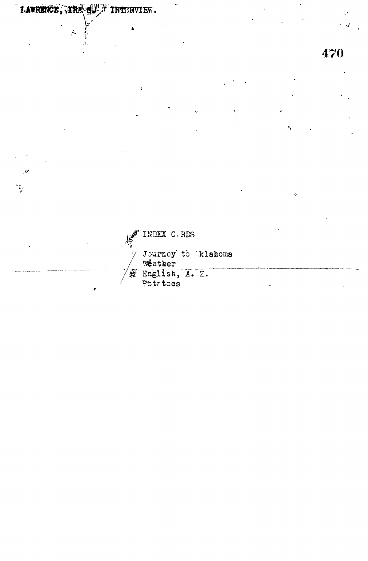LAWRENCE, THE SUN INTERVIEW.

 $\Lambda_{\rm so}$ 

470

F INDEX C. RDS Journey to klahoma<br>Weather<br>A Englisk, A. Z.<br>Potrtoes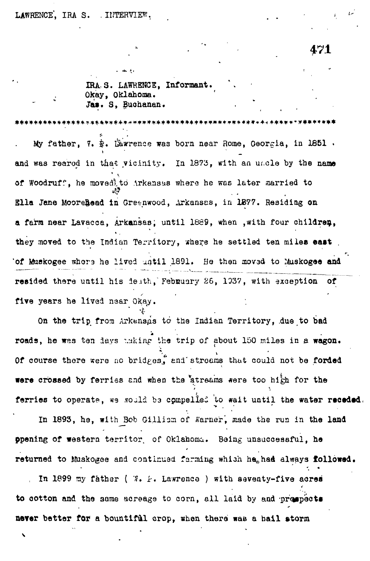**471**

IRA-3. LAWRENCE, Informant. Okay, Oklahoma. Ja». S, Buohanan.

\*\*\*\*\*\*\*\*\*\*\*\*\*\*\*\*\*\*\*\*\*\*\*\*\*\*\*\*\*

My father, 7.  $\hat{x}$ . Ikwrence was born near Rome, Georgia, in 1851. and was reared in that vicinity. In 1873, with an uncle by the name  $\sim$  Y, of Woodruff, he moved, to Arkansas where he was later married to of Woodruff, he movedlto Arkansas where he was later aarried to Ella Jane Moorehead in Greenwood, Arkansas, in 1877. Residing on Blla Jane Moorefcead in Greenwood, Arkansas, in 1877. Residing on a farm near Lavacca, Arkansas; until 1889, when , with four children, a farm near Lavacca, Arkansas; until 1889, when ,with four children, with four children, with four children, w<br>The children, with four children, with four children, with four children, with four children, with the childre they moved to the Indian Territory, where he settled ten milea east "of Muakogee who "of Muakogee" who who who who who who who was and antil 1891, He then aided to real to real to r4uskogae and and to r4uskogae and to r4uskogae and to r4uskogae and to r4uskogae and to r4uskogae and to r4us resided there until his ieath, Febnuary 26, 1937, with exception of five years he lived near Okay.

On the trip from Arkensas to the Indian Territory, due to bad roads, he was ten days making the trip of about 150 miles in a wagon. Of course there were no bridges, and streams that could not be forded were crossed by ferries and when the atreams were too high for the ferries to operate, we would be compelled to wait until the water receded.

In 1893, he, with Bob Gilliam of Warner, made the run in the land ppening of western territor of Oklahoma. Being unsuccessful, he ppening of western territor. of Oklahoma. Being unsuccessful, he

returned to Muskogee and continued farming whiah he^haa always followed. to cotton and the same acreage to corn, all laid by and prospects to cotton and the some acreage to correspond to correspond to correspond to correspond to  $\mathcal{L}_\mathcal{D}$ 

never better for a bountiful crop, when there was a ball storm in the was a ball storm in the was a ball storm<br>The was a ball storm in the was a ball storm in the was a ball storm in the was a ball storm in the was a ball